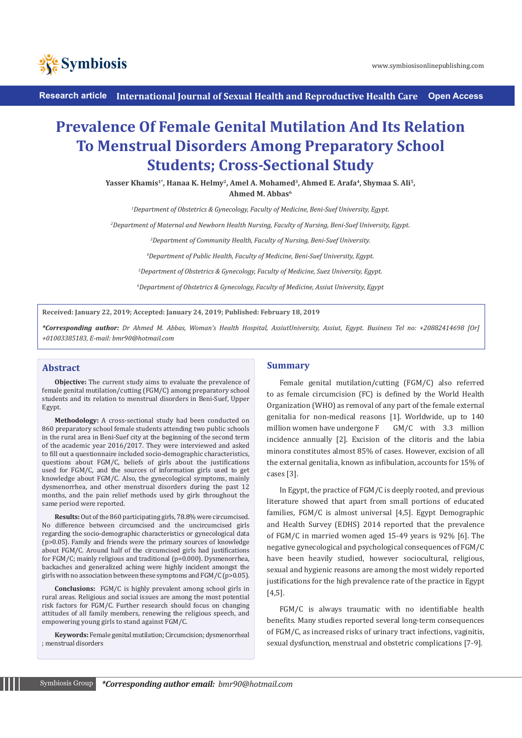



**Research article International Journal of Sexual Health and Reproductive Health Care Open Access**

# **Prevalence Of Female Genital Mutilation And Its Relation To Menstrual Disorders Among Preparatory School Students; Cross-Sectional Study**

Yasser Khamis<sup>1\*</sup>, Hanaa K. Helmy<sup>2</sup>, Amel A. Mohamed<sup>3</sup>, Ahmed E. Arafa<sup>4</sup>, Shymaa S. Ali<sup>5</sup>, **Ahmed M. Abbas6**

*1 Department of Obstetrics & Gynecology, Faculty of Medicine, Beni-Suef University, Egypt.* 

*2 Department of Maternal and Newborn Health Nursing, Faculty of Nursing, Beni-Suef University, Egypt.*

 *Department of Community Health, Faculty of Nursing, Beni-Suef University. Department of Public Health, Faculty of Medicine, Beni-Suef University, Egypt. Department of Obstetrics & Gynecology, Faculty of Medicine, Suez University, Egypt. Department of Obstetrics & Gynecology, Faculty of Medicine, Assiut University, Egypt*

**Received: January 22, 2019; Accepted: January 24, 2019; Published: February 18, 2019**

*\*Corresponding author: Dr Ahmed M. Abbas, Woman's Health Hospital, AssiutUniversity, Assiut, Egypt. Business Tel no: +20882414698 [Or] +01003385183, E-mail: bmr90@hotmail.com* 

#### **Abstract**

**Objective:** The current study aims to evaluate the prevalence of female genital mutilation/cutting (FGM/C) among preparatory school students and its relation to menstrual disorders in Beni-Suef, Upper Egypt.

**Methodology:** A cross-sectional study had been conducted on 860 preparatory school female students attending two public schools in the rural area in Beni-Suef city at the beginning of the second term of the academic year 2016/2017. They were interviewed and asked to fill out a questionnaire included socio-demographic characteristics, questions about FGM/C, beliefs of girls about the justifications used for FGM/C, and the sources of information girls used to get knowledge about FGM/C. Also, the gynecological symptoms, mainly dysmenorrhea, and other menstrual disorders during the past 12 months, and the pain relief methods used by girls throughout the same period were reported.

**Results:** Out of the 860 participating girls, 78.8% were circumcised. No difference between circumcised and the uncircumcised girls regarding the socio-demographic characteristics or gynecological data (p>0.05). Family and friends were the primary sources of knowledge about FGM/C. Around half of the circumcised girls had justifications for FGM/C; mainly religious and traditional (p=0.000). Dysmenorrhea, backaches and generalized aching were highly incident amongst the girls with no association between these symptoms and FGM/C (p>0.05).

**Conclusions:** FGM/C is highly prevalent among school girls in rural areas. Religious and social issues are among the most potential risk factors for FGM/C. Further research should focus on changing attitudes of all family members, renewing the religious speech, and empowering young girls to stand against FGM/C.

**Keywords:** Female genital mutilation; Circumcision; dysmenorrheal ; menstrual disorders

## **Summary**

Female genital mutilation/cutting (FGM/C) also referred to as female circumcision (FC) is defined by the World Health Organization (WHO) as removal of any part of the female external genitalia for non-medical reasons [1]. Worldwide, up to 140 million women have undergone F GM/C with 3.3 million incidence annually [2]. Excision of the clitoris and the labia minora constitutes almost 85% of cases. However, excision of all the external genitalia, known as infibulation, accounts for 15% of cases [3].

In Egypt, the practice of FGM/C is deeply rooted, and previous literature showed that apart from small portions of educated families, FGM/C is almost universal [4,5]. Egypt Demographic and Health Survey (EDHS) 2014 reported that the prevalence of FGM/C in married women aged 15-49 years is 92% [6]. The negative gynecological and psychological consequences of FGM/C have been heavily studied, however sociocultural, religious, sexual and hygienic reasons are among the most widely reported justifications for the high prevalence rate of the practice in Egypt [4,5].

FGM/C is always traumatic with no identifiable health benefits. Many studies reported several long-term consequences of FGM/C, as increased risks of urinary tract infections, vaginitis, sexual dysfunction, menstrual and obstetric complications [7-9].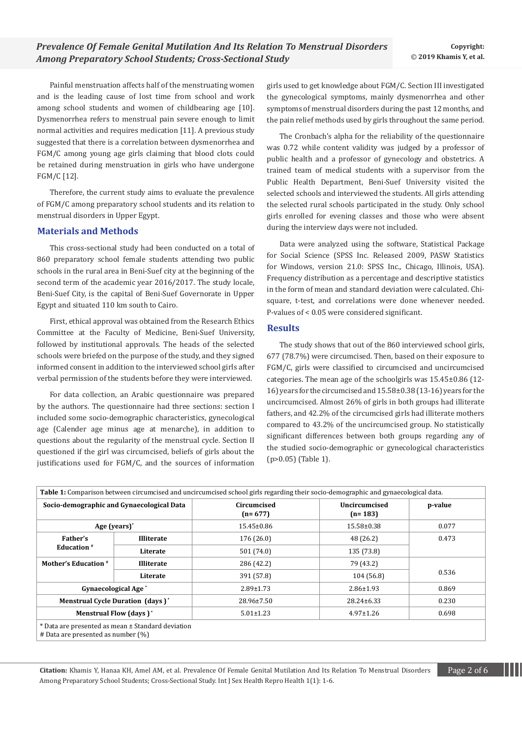Painful menstruation affects half of the menstruating women and is the leading cause of lost time from school and work among school students and women of childbearing age [10]. Dysmenorrhea refers to menstrual pain severe enough to limit normal activities and requires medication [11]. A previous study suggested that there is a correlation between dysmenorrhea and FGM/C among young age girls claiming that blood clots could be retained during menstruation in girls who have undergone FGM/C [12].

Therefore, the current study aims to evaluate the prevalence of FGM/C among preparatory school students and its relation to menstrual disorders in Upper Egypt.

## **Materials and Methods**

This cross-sectional study had been conducted on a total of 860 preparatory school female students attending two public schools in the rural area in Beni-Suef city at the beginning of the second term of the academic year 2016/2017. The study locale, Beni-Suef City, is the capital of Beni-Suef Governorate in Upper Egypt and situated 110 km south to Cairo.

First, ethical approval was obtained from the Research Ethics Committee at the Faculty of Medicine, Beni-Suef University, followed by institutional approvals. The heads of the selected schools were briefed on the purpose of the study, and they signed informed consent in addition to the interviewed school girls after verbal permission of the students before they were interviewed.

For data collection, an Arabic questionnaire was prepared by the authors. The questionnaire had three sections: section I included some socio-demographic characteristics, gynecological age (Calender age minus age at menarche), in addition to questions about the regularity of the menstrual cycle. Section II questioned if the girl was circumcised, beliefs of girls about the justifications used for FGM/C, and the sources of information girls used to get knowledge about FGM/C. Section III investigated the gynecological symptoms, mainly dysmenorrhea and other symptoms of menstrual disorders during the past 12 months, and the pain relief methods used by girls throughout the same period.

The Cronbach's alpha for the reliability of the questionnaire was 0.72 while content validity was judged by a professor of public health and a professor of gynecology and obstetrics. A trained team of medical students with a supervisor from the Public Health Department, Beni-Suef University visited the selected schools and interviewed the students. All girls attending the selected rural schools participated in the study. Only school girls enrolled for evening classes and those who were absent during the interview days were not included.

Data were analyzed using the software, Statistical Package for Social Science (SPSS Inc. Released 2009, PASW Statistics for Windows, version 21.0: SPSS Inc., Chicago, Illinois, USA). Frequency distribution as a percentage and descriptive statistics in the form of mean and standard deviation were calculated. Chisquare, t-test, and correlations were done whenever needed. P-values of < 0.05 were considered significant.

#### **Results**

The study shows that out of the 860 interviewed school girls, 677 (78.7%) were circumcised. Then, based on their exposure to FGM/C, girls were classified to circumcised and uncircumcised categories. The mean age of the schoolgirls was 15.45±0.86 (12- 16) years for the circumcised and 15.58±0.38 (13-16) years for the uncircumcised. Almost 26% of girls in both groups had illiterate fathers, and 42.2% of the circumcised girls had illiterate mothers compared to 43.2% of the uncircumcised group. No statistically significant differences between both groups regarding any of the studied socio-demographic or gynecological characteristics (p>0.05) (Table 1).

| Socio-demographic and Gynaecological Data<br>Age (years) <sup>*</sup> |                   | Circumcised<br>$(n=677)$ | <b>Uncircumcised</b><br>$(n=183)$ | p-value |
|-----------------------------------------------------------------------|-------------------|--------------------------|-----------------------------------|---------|
|                                                                       |                   | $15.45 \pm 0.86$         | 15.58±0.38                        | 0.077   |
| Father's<br><b>Education</b> <sup>#</sup>                             | <b>Illiterate</b> | 176(26.0)                | 48 (26.2)                         | 0.473   |
|                                                                       | Literate          | 501 (74.0)               | 135 (73.8)                        |         |
| Mother's Education #                                                  | <b>Illiterate</b> | 286 (42.2)               | 79 (43.2)                         | 0.536   |
|                                                                       | Literate          | 391 (57.8)               | 104 (56.8)                        |         |
| <b>Gynaecological Age<sup>*</sup></b>                                 |                   | $2.89 \pm 1.73$          | $2.86 \pm 1.93$                   | 0.869   |
| <b>Menstrual Cycle Duration (days)*</b>                               |                   | 28.96±7.50               | $28.24 \pm 6.33$                  | 0.230   |
| <b>Menstrual Flow (days)*</b>                                         |                   | $5.01 \pm 1.23$          | $4.97 \pm 1.26$                   | 0.698   |

Citation: Khamis Y, Hanaa KH, Amel AM, et al. Prevalence Of Female Genital Mutilation And Its Relation To Menstrual Disorders **Page 2 of 6** Among Preparatory School Students; Cross-Sectional Study. Int J Sex Health Repro Health 1(1): 1-6.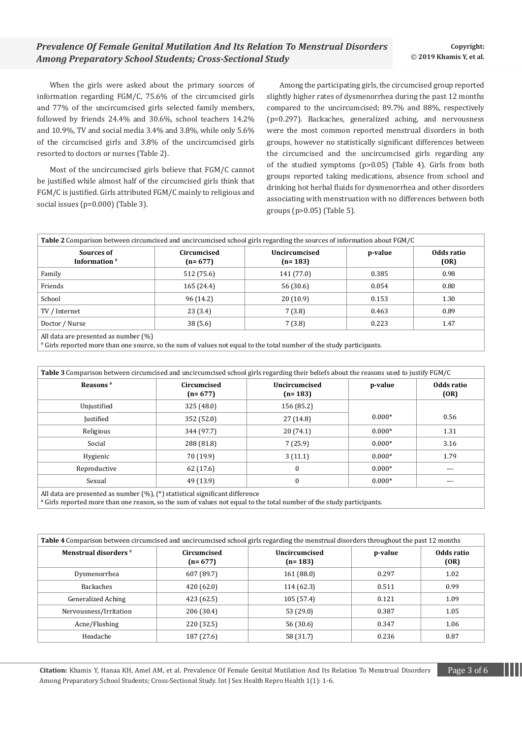When the girls were asked about the primary sources of information regarding FGM/C, 75.6% of the circumcised girls and 77% of the uncircumcised girls selected family members, followed by friends 24.4% and 30.6%, school teachers 14.2% and 10.9%, TV and social media 3.4% and 3.8%, while only 5.6% of the circumcised girls and 3.8% of the uncircumcised girls resorted to doctors or nurses (Table 2).

Most of the uncircumcised girls believe that FGM/C cannot be justified while almost half of the circumcised girls think that FGM/C is justified. Girls attributed FGM/C mainly to religious and social issues (p=0.000) (Table 3).

Among the participating girls, the circumcised group reported slightly higher rates of dysmenorrhea during the past 12 months compared to the uncircumcised; 89.7% and 88%, respectively (p=0.297). Backaches, generalized aching, and nervousness were the most common reported menstrual disorders in both groups, however no statistically significant differences between the circumcised and the uncircumcised girls regarding any of the studied symptoms (p>0.05) (Table 4). Girls from both groups reported taking medications, absence from school and drinking hot herbal fluids for dysmenorrhea and other disorders associating with menstruation with no differences between both groups (p>0.05) (Table 5).

| Table 2 Comparison between circumcised and uncircumcised school girls regarding the sources of information about FGM/C |                          |                            |         |                    |  |
|------------------------------------------------------------------------------------------------------------------------|--------------------------|----------------------------|---------|--------------------|--|
| Sources of<br>Information <sup>#</sup>                                                                                 | Circumcised<br>$(n=677)$ | Uncircumcised<br>$(n=183)$ | p-value | Odds ratio<br>(OR) |  |
| Family                                                                                                                 | 512 (75.6)               | 141 (77.0)                 | 0.385   | 0.98               |  |
| Friends                                                                                                                | 165 (24.4)               | 56 (30.6)                  | 0.054   | 0.80               |  |
| School                                                                                                                 | 96 (14.2)                | 20(10.9)                   | 0.153   | 1.30               |  |
| TV / Internet                                                                                                          | 23(3.4)                  | 7(3.8)                     | 0.463   | 0.89               |  |
| Doctor / Nurse                                                                                                         | 38(5.6)                  | 7(3.8)                     | 0.223   | 1.47               |  |
| All data are presented as number $(\%)$                                                                                |                          |                            |         |                    |  |

# Girls reported more than one source, so the sum of values not equal to the total number of the study participants.

| Table 3 Comparison between circumcised and uncircumcised school girls regarding their beliefs about the reasons used to justify FGM/C |                          |                            |          |                    |  |
|---------------------------------------------------------------------------------------------------------------------------------------|--------------------------|----------------------------|----------|--------------------|--|
| Reasons <sup>#</sup>                                                                                                                  | Circumcised<br>$(n=677)$ | Uncircumcised<br>$(n=183)$ | p-value  | Odds ratio<br>(OR) |  |
| Unjustified                                                                                                                           | 325(48.0)                | 156 (85.2)                 | $0.000*$ |                    |  |
| <b>Justified</b>                                                                                                                      | 352 (52.0)               | 27 (14.8)                  |          | 0.56               |  |
| Religious                                                                                                                             | 344 (97.7)               | 20(74.1)                   | $0.000*$ | 1.31               |  |
| Social                                                                                                                                | 288 (81.8)               | 7(25.9)                    | $0.000*$ | 3.16               |  |
| Hygienic                                                                                                                              | 70 (19.9)                | 3(11.1)                    | $0.000*$ | 1.79               |  |
| Reproductive                                                                                                                          | 62 (17.6)                | $\Omega$                   | $0.000*$ | ---                |  |
| Sexual                                                                                                                                | 49 (13.9)                | $\mathbf{0}$               | $0.000*$ | ---                |  |
| .                                                                                                                                     |                          |                            |          |                    |  |

All data are presented as number (%), (\*) statistical significant difference

# Girls reported more than one reason, so the sum of values not equal to the total number of the study participants.

| Table 4 Comparison between circumcised and uncircumcised school girls regarding the menstrual disorders throughout the past 12 months |                          |                                   |         |                    |  |
|---------------------------------------------------------------------------------------------------------------------------------------|--------------------------|-----------------------------------|---------|--------------------|--|
| <b>Menstrual disorders</b> #                                                                                                          | Circumcised<br>$(n=677)$ | <b>Uncircumcised</b><br>$(n=183)$ | p-value | Odds ratio<br>(OR) |  |
| Dysmenorrhea                                                                                                                          | 607 (89.7)               | 161(88.0)                         | 0.297   | 1.02               |  |
| <b>Backaches</b>                                                                                                                      | 420 (62.0)               | 114(62.3)                         | 0.511   | 0.99               |  |
| <b>Generalized Aching</b>                                                                                                             | 423 (62.5)               | 105(57.4)                         | 0.121   | 1.09               |  |
| Nervousness/Irritation                                                                                                                | 206 (30.4)               | 53 (29.0)                         | 0.387   | 1.05               |  |
| Acne/Flushing                                                                                                                         | 220 (32.5)               | 56 (30.6)                         | 0.347   | 1.06               |  |
| Headache                                                                                                                              | 187 (27.6)               | 58 (31.7)                         | 0.236   | 0.87               |  |

**Citation:** Khamis Y, Hanaa KH, Amel AM, et al. Prevalence Of Female Genital Mutilation And Its Relation To Menstrual Disorders Page 3 of 6 Among Preparatory School Students; Cross-Sectional Study. Int J Sex Health Repro Health 1(1): 1-6.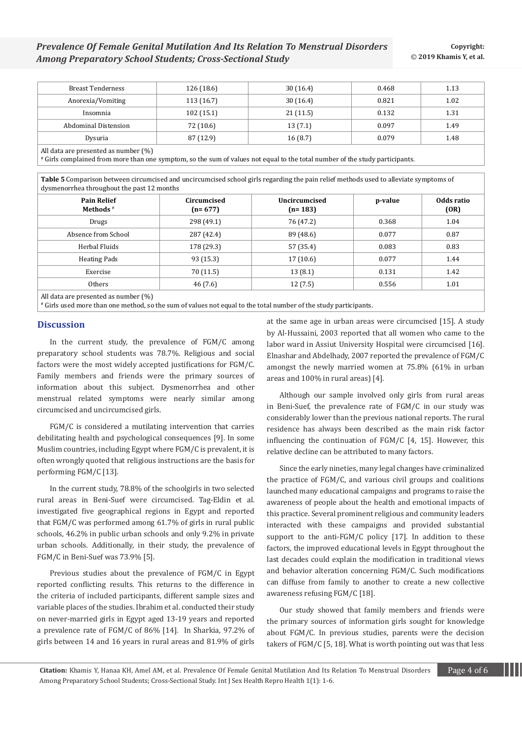| <b>Breast Tenderness</b>             | 126(18.6) | 30(16.4) | 0.468 | 1.13 |
|--------------------------------------|-----------|----------|-------|------|
| Anorexia/Vomiting                    | 113(16.7) | 30(16.4) | 0.821 | 1.02 |
| Insomnia                             | 102(15.1) | 21(11.5) | 0.132 | 1.31 |
| Abdominal Distension                 | 72 (10.6) | 13(7.1)  | 0.097 | 1.49 |
| Dysuria                              | 87 (12.9) | 16(8.7)  | 0.079 | 1.48 |
| All data are procented as number (%) |           |          |       |      |

All data are presented as number (%)

# Girls complained from more than one symptom, so the sum of values not equal to the total number of the study participants.

**Table 5** Comparison between circumcised and uncircumcised school girls regarding the pain relief methods used to alleviate symptoms of dysmenorrhea throughout the past 12 months

| <b>Pain Relief</b><br>Methods <sup>#</sup>                               | Circumcised<br>$(n=677)$ | Uncircumcised<br>$(n=183)$ | p-value | Odds ratio<br>(OR) |
|--------------------------------------------------------------------------|--------------------------|----------------------------|---------|--------------------|
| Drugs                                                                    | 298 (49.1)               | 76 (47.2)                  | 0.368   | 1.04               |
| Absence from School                                                      | 287 (42.4)               | 89 (48.6)                  | 0.077   | 0.87               |
| Herbal Fluids                                                            | 178 (29.3)               | 57 (35.4)                  | 0.083   | 0.83               |
| <b>Heating Pads</b>                                                      | 93 (15.3)                | 17(10.6)                   | 0.077   | 1.44               |
| Exercise                                                                 | 70 (11.5)                | 13(8.1)                    | 0.131   | 1.42               |
| Others                                                                   | 46 (7.6)                 | 12 (7.5)                   | 0.556   | 1.01               |
| $\cdots$<br>$\sim$<br>$\sim$ $\sim$ $\sim$ $\sim$ $\sim$<br>$\mathbf{r}$ |                          |                            |         |                    |

All data are presented as number (%)

# Girls used more than one method, so the sum of values not equal to the total number of the study participants.

## **Discussion**

In the current study, the prevalence of FGM/C among preparatory school students was 78.7%. Religious and social factors were the most widely accepted justifications for FGM/C. Family members and friends were the primary sources of information about this subject. Dysmenorrhea and other menstrual related symptoms were nearly similar among circumcised and uncircumcised girls.

FGM/C is considered a mutilating intervention that carries debilitating health and psychological consequences [9]. In some Muslim countries, including Egypt where FGM/C is prevalent, it is often wrongly quoted that religious instructions are the basis for performing FGM/C [13].

In the current study, 78.8% of the schoolgirls in two selected rural areas in Beni-Suef were circumcised. Tag-Eldin et al. investigated five geographical regions in Egypt and reported that FGM/C was performed among 61.7% of girls in rural public schools, 46.2% in public urban schools and only 9.2% in private urban schools. Additionally, in their study, the prevalence of FGM/C in Beni-Suef was 73.9% [5].

Previous studies about the prevalence of FGM/C in Egypt reported conflicting results. This returns to the difference in the criteria of included participants, different sample sizes and variable places of the studies. Ibrahim et al. conducted their study on never-married girls in Egypt aged 13-19 years and reported a prevalence rate of FGM/C of 86% [14]. In Sharkia, 97.2% of girls between 14 and 16 years in rural areas and 81.9% of girls at the same age in urban areas were circumcised [15]. A study by Al-Hussaini, 2003 reported that all women who came to the labor ward in Assiut University Hospital were circumcised [16]. Elnashar and Abdelhady, 2007 reported the prevalence of FGM/C amongst the newly married women at 75.8% (61% in urban areas and 100% in rural areas) [4].

Although our sample involved only girls from rural areas in Beni-Suef, the prevalence rate of FGM/C in our study was considerably lower than the previous national reports. The rural residence has always been described as the main risk factor influencing the continuation of FGM/C [4, 15]. However, this relative decline can be attributed to many factors.

Since the early nineties, many legal changes have criminalized the practice of FGM/C, and various civil groups and coalitions launched many educational campaigns and programs to raise the awareness of people about the health and emotional impacts of this practice. Several prominent religious and community leaders interacted with these campaigns and provided substantial support to the anti-FGM/C policy [17]. In addition to these factors, the improved educational levels in Egypt throughout the last decades could explain the modification in traditional views and behavior alteration concerning FGM/C. Such modifications can diffuse from family to another to create a new collective awareness refusing FGM/C [18].

Our study showed that family members and friends were the primary sources of information girls sought for knowledge about FGM/C. In previous studies, parents were the decision takers of FGM/C [5, 18]. What is worth pointing out was that less

**Citation:** Khamis Y, Hanaa KH, Amel AM, et al. Prevalence Of Female Genital Mutilation And Its Relation To Menstrual Disorders Page 4 of 6 Among Preparatory School Students; Cross-Sectional Study. Int J Sex Health Repro Health 1(1): 1-6.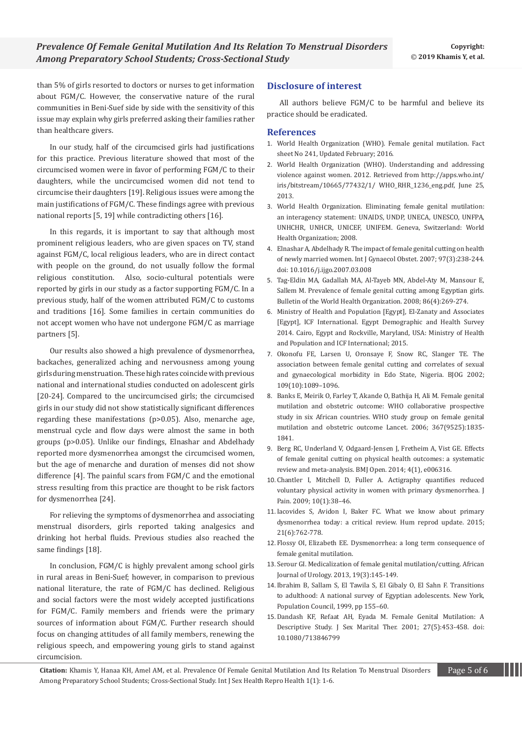than 5% of girls resorted to doctors or nurses to get information about FGM/C. However, the conservative nature of the rural communities in Beni-Suef side by side with the sensitivity of this issue may explain why girls preferred asking their families rather than healthcare givers.

In our study, half of the circumcised girls had justifications for this practice. Previous literature showed that most of the circumcised women were in favor of performing FGM/C to their daughters, while the uncircumcised women did not tend to circumcise their daughters [19]. Religious issues were among the main justifications of FGM/C. These findings agree with previous national reports [5, 19] while contradicting others [16].

In this regards, it is important to say that although most prominent religious leaders, who are given spaces on TV, stand against FGM/C, local religious leaders, who are in direct contact with people on the ground, do not usually follow the formal religious constitution. Also, socio-cultural potentials were reported by girls in our study as a factor supporting FGM/C. In a previous study, half of the women attributed FGM/C to customs and traditions [16]. Some families in certain communities do not accept women who have not undergone FGM/C as marriage partners [5].

Our results also showed a high prevalence of dysmenorrhea, backaches, generalized aching and nervousness among young girls during menstruation. These high rates coincide with previous national and international studies conducted on adolescent girls [20-24]. Compared to the uncircumcised girls; the circumcised girls in our study did not show statistically significant differences regarding these manifestations (p>0.05). Also, menarche age, menstrual cycle and flow days were almost the same in both groups (p>0.05). Unlike our findings, Elnashar and Abdelhady reported more dysmenorrhea amongst the circumcised women, but the age of menarche and duration of menses did not show difference [4]. The painful scars from FGM/C and the emotional stress resulting from this practice are thought to be risk factors for dysmenorrhea [24].

For relieving the symptoms of dysmenorrhea and associating menstrual disorders, girls reported taking analgesics and drinking hot herbal fluids. Previous studies also reached the same findings [18].

In conclusion, FGM/C is highly prevalent among school girls in rural areas in Beni-Suef; however, in comparison to previous national literature, the rate of FGM/C has declined. Religious and social factors were the most widely accepted justifications for FGM/C. Family members and friends were the primary sources of information about FGM/C. Further research should focus on changing attitudes of all family members, renewing the religious speech, and empowering young girls to stand against circumcision.

## **Disclosure of interest**

All authors believe FGM/C to be harmful and believe its practice should be eradicated.

## **References**

- 1. [World Health Organization \(WHO\). Female genital mutilation. Fact](https://www.who.int/en/news-room/fact-sheets/detail/female-genital-mutilation)  [sheet No 241, Updated February; 2016.](https://www.who.int/en/news-room/fact-sheets/detail/female-genital-mutilation)
- 2. World Health Organization (WHO). Understanding and addressing violence against women. 2012. Retrieved from http://apps.who.int/ iris/bitstream/10665/77432/1/ WHO\_RHR\_1236\_eng.pdf, June 25, 2013.
- 3. World Health Organization. [Eliminating female genital mutilation:](https://www.who.int/reproductivehealth/publications/fgm/9789241596442/en/)  [an interagency statement: UNAIDS, UNDP, UNECA, UNESCO, UNFPA,](https://www.who.int/reproductivehealth/publications/fgm/9789241596442/en/)  [UNHCHR, UNHCR, UNICEF, UNIFEM.](https://www.who.int/reproductivehealth/publications/fgm/9789241596442/en/) Geneva, Switzerland: World [Health Organization; 2008.](https://www.who.int/reproductivehealth/publications/fgm/9789241596442/en/)
- 4. [Elnashar A, Abdelhady R. The impact of female genital cutting on health](https://www.ncbi.nlm.nih.gov/pubmed/17445819)  [of newly married women. Int J Gynaecol Obstet. 2007; 97\(3\):238-244.](https://www.ncbi.nlm.nih.gov/pubmed/17445819) [doi: 10.1016/j.ijgo.2007.03.008](https://www.ncbi.nlm.nih.gov/pubmed/17445819)
- 5. [Tag-Eldin MA, Gadallah MA, Al-Tayeb MN, Abdel-Aty M, Mansour E,](https://www.ncbi.nlm.nih.gov/pubmed/18438515)  [Sallem M. Prevalence of female genital cutting among Egyptian girls.](https://www.ncbi.nlm.nih.gov/pubmed/18438515)  [Bulletin of the World Health Organization. 2008; 86\(4\):269-274.](https://www.ncbi.nlm.nih.gov/pubmed/18438515)
- 6. [Ministry of Health and Population \[Egypt\], El-Zanaty and Associates](https://dhsprogram.com/pubs/pdf/fr302/fr302.pdf)  [\[Egypt\], ICF International. Egypt Demographic and Health Survey](https://dhsprogram.com/pubs/pdf/fr302/fr302.pdf)  [2014. Cairo, Egypt and Rockville, Maryland, USA: Ministry of Health](https://dhsprogram.com/pubs/pdf/fr302/fr302.pdf)  [and Population and ICF International; 2015.](https://dhsprogram.com/pubs/pdf/fr302/fr302.pdf)
- 7. Okonofu FE, Larsen U, Oronsaye [F, Snow RC, Slanger TE. The](https://www.ncbi.nlm.nih.gov/pubmed/12387460)  [association between female genital cutting and correlates of sexual](https://www.ncbi.nlm.nih.gov/pubmed/12387460)  [and gynaecological morbidity in Edo State, Nigeria.](https://www.ncbi.nlm.nih.gov/pubmed/12387460) BJOG 2002; [109\(10\):1089–1096.](https://www.ncbi.nlm.nih.gov/pubmed/12387460)
- 8. [Banks E, Meirik O, Farley T, Akande O, Bathija H, Ali M. Female genital](https://www.ncbi.nlm.nih.gov/pubmed/16753486)  [mutilation and obstetric outcome: WHO collaborative prospective](https://www.ncbi.nlm.nih.gov/pubmed/16753486)  [study in six African countries. WHO study group on female genital](https://www.ncbi.nlm.nih.gov/pubmed/16753486)  [mutilation and obstetric outcome Lancet. 2006; 367\(9525\):1835-](https://www.ncbi.nlm.nih.gov/pubmed/16753486) [1841.](https://www.ncbi.nlm.nih.gov/pubmed/16753486)
- 9. [Berg RC, Underland V, Odgaard-Jensen J, Fretheim A, Vist GE. Effects](https://bmjopen.bmj.com/content/4/11/e006316)  [of female genital cutting on physical health outcomes: a systematic](https://bmjopen.bmj.com/content/4/11/e006316)  [review and meta-analysis. BMJ Open. 2014; 4\(1\), e006316.](https://bmjopen.bmj.com/content/4/11/e006316)
- 10. Chantler I, Mitchell D, Fuller A. [Actigraphy quantifies reduced](https://www.ncbi.nlm.nih.gov/pubmed/18722817)  [voluntary physical activity in women with primary dysmenorrhea.](https://www.ncbi.nlm.nih.gov/pubmed/18722817) J [Pain. 2009; 10\(1\):38–46.](https://www.ncbi.nlm.nih.gov/pubmed/18722817)
- 11.[Iacovides S, Avidon I, Baker FC. What we know about primary](https://www.ncbi.nlm.nih.gov/pubmed/26346058)  [dysmenorrhea today: a critical review. Hum reprod update. 2015;](https://www.ncbi.nlm.nih.gov/pubmed/26346058)  [21\(6\):762-778.](https://www.ncbi.nlm.nih.gov/pubmed/26346058)
- 12. Flossy OI, Elizabeth EE. Dysmenorrhea: a long term consequence of female genital mutilation.
- 13. [Serour GI. Medicalization of female genital mutilation/cutting. African](https://www.sciencedirect.com/science/article/pii/S1110570413000271)  [Journal of Urology. 2013, 19\(3\):145-149.](https://www.sciencedirect.com/science/article/pii/S1110570413000271)
- 14.Ibrahim B, Sallam S, El Tawila S, El Gibaly O, El Sahn F. Transitions to adulthood: A national survey of Egyptian adolescents. New York, Population Council, 1999, pp 155–60.
- 15.[Dandash KF, Refaat AH, Eyada M. Female Genital Mutilation: A](https://www.ncbi.nlm.nih.gov/pubmed/11554206)  [Descriptive Study. J Sex Marital Ther. 2001; 27\(5\):453-458. doi:](https://www.ncbi.nlm.nih.gov/pubmed/11554206)  [10.1080/713846799](https://www.ncbi.nlm.nih.gov/pubmed/11554206)

**Citation:** Khamis Y, Hanaa KH, Amel AM, et al. Prevalence Of Female Genital Mutilation And Its Relation To Menstrual Disorders Page 5 of 6 Among Preparatory School Students; Cross-Sectional Study. Int J Sex Health Repro Health 1(1): 1-6.